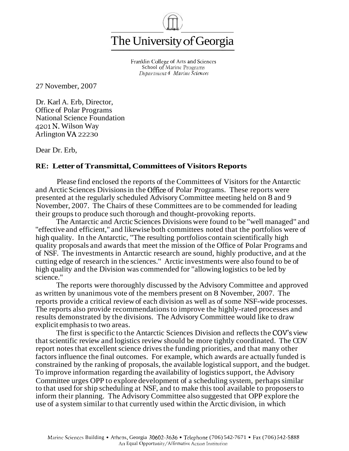

Franklin College of Arts and Sciences School of Marine Programs *Department* **of** *Marine* **Sciences** 

27 November, 2007

Dr. Karl A. Erb, Director, Office of Polar Programs National Science Foundation 4201 N. Wilson Way Arlington VA 22230

Dear Dr. Erb,

## **RE: Letter of Transmittal, Committees of Visitors Reports**

Please find enclosed the reports of the Committees of Visitors for the Antarctic and Arctic Sciences Divisions in the Ofice of Polar Programs. These reports were presented at the regularly scheduled Advisory Committee meeting held on 8 and 9 November, 2007. The Chairs of these Committees are to be commended for leading their groups to produce such thorough and thought-provoking reports.

The Antarctic and Arctic Sciences Divisions were found to be "well managed" and "effective and efficient," and likewise both committees noted that the portfolios were of high quality. In the Antarctic, "The resulting portfolios contain scientifically high quality proposals and awards that meet the mission of the Office of Polar Programs and of NSF. The investments in Antarctic research are sound, highly productive, and at the cutting edge of research in the sciences." Arctic investments were also found to be of high quality and the Division was commended for "allowing logistics to be led by science."

The reports were thoroughly discussed by the Advisory Committee and approved as written by unanimous vote of the members present on 8 November, 2007. The reports provide a critical review of each division as well as of some NSF-wide processes. The reports also provide recommendations to improve the highly-rated processes and results demonstrated by the divisions. The Advisory Committee would like to draw explicit emphasis to two areas.

The first is specific to the Antarctic Sciences Division and reflects the COV's view that scientific review and logistics review should be more tightly coordinated. The COV report notes that excellent science drives the funding priorities, and that many other factors influence the final outcomes. For example, which awards are actually funded is constrained by the ranking of proposals, the available logistical support, and the budget. To improve information regarding the availability of logistics support, the Advisory Committee urges OPP to explore development of a scheduling system, perhaps similar to that used for ship scheduling at NSF, and to make this tool available to proposers to inform their planning. The Advisory Committee also suggested that OPP explore the use of a system similar to that currently used within the Arctic division, in which